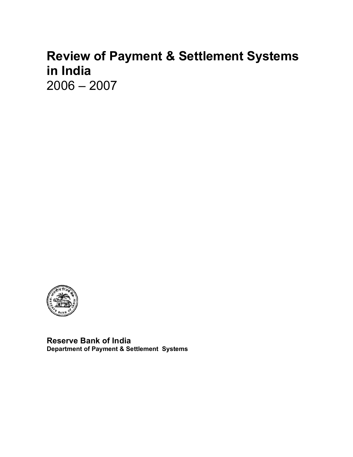# **Review of Payment & Settlement Systems in India**

2006 – 2007



**Reserve Bank of India Department of Payment & Settlement Systems**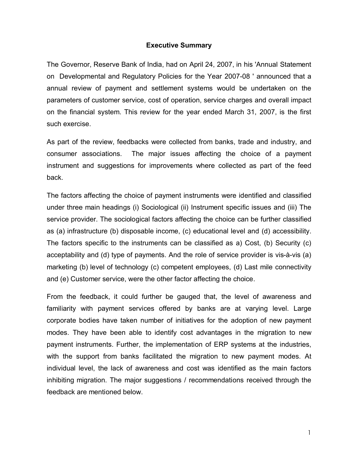### **Executive Summary**

The Governor, Reserve Bank of India, had on April 24, 2007, in his 'Annual Statement on Developmental and Regulatory Policies for the Year 2007-08 ' announced that a annual review of payment and settlement systems would be undertaken on the parameters of customer service, cost of operation, service charges and overall impact on the financial system. This review for the year ended March 31, 2007, is the first such exercise.

As part of the review, feedbacks were collected from banks, trade and industry, and consumer associations. The major issues affecting the choice of a payment instrument and suggestions for improvements where collected as part of the feed back.

The factors affecting the choice of payment instruments were identified and classified under three main headings (i) Sociological (ii) Instrument specific issues and (iii) The service provider. The sociological factors affecting the choice can be further classified as (a) infrastructure (b) disposable income, (c) educational level and (d) accessibility. The factors specific to the instruments can be classified as a) Cost, (b) Security (c) acceptability and (d) type of payments. And the role of service provider is vis-à-vis (a) marketing (b) level of technology (c) competent employees, (d) Last mile connectivity and (e) Customer service, were the other factor affecting the choice.

From the feedback, it could further be gauged that, the level of awareness and familiarity with payment services offered by banks are at varying level. Large corporate bodies have taken number of initiatives for the adoption of new payment modes. They have been able to identify cost advantages in the migration to new payment instruments. Further, the implementation of ERP systems at the industries, with the support from banks facilitated the migration to new payment modes. At individual level, the lack of awareness and cost was identified as the main factors inhibiting migration. The major suggestions / recommendations received through the feedback are mentioned below.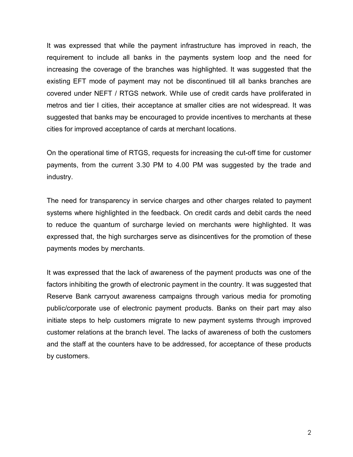It was expressed that while the payment infrastructure has improved in reach, the requirement to include all banks in the payments system loop and the need for increasing the coverage of the branches was highlighted. It was suggested that the existing EFT mode of payment may not be discontinued till all banks branches are covered under NEFT / RTGS network. While use of credit cards have proliferated in metros and tier I cities, their acceptance at smaller cities are not widespread. It was suggested that banks may be encouraged to provide incentives to merchants at these cities for improved acceptance of cards at merchant locations.

On the operational time of RTGS, requests for increasing the cut-off time for customer payments, from the current 3.30 PM to 4.00 PM was suggested by the trade and industry.

The need for transparency in service charges and other charges related to payment systems where highlighted in the feedback. On credit cards and debit cards the need to reduce the quantum of surcharge levied on merchants were highlighted. It was expressed that, the high surcharges serve as disincentives for the promotion of these payments modes by merchants.

It was expressed that the lack of awareness of the payment products was one of the factors inhibiting the growth of electronic payment in the country. It was suggested that Reserve Bank carryout awareness campaigns through various media for promoting public/corporate use of electronic payment products. Banks on their part may also initiate steps to help customers migrate to new payment systems through improved customer relations at the branch level. The lacks of awareness of both the customers and the staff at the counters have to be addressed, for acceptance of these products by customers.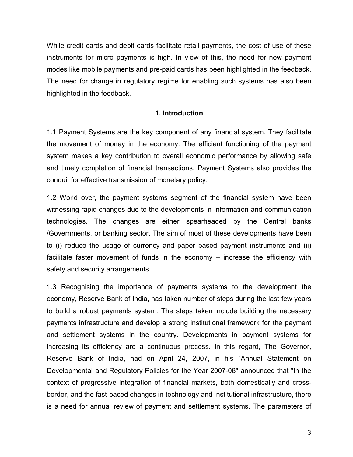While credit cards and debit cards facilitate retail payments, the cost of use of these instruments for micro payments is high. In view of this, the need for new payment modes like mobile payments and pre-paid cards has been highlighted in the feedback. The need for change in regulatory regime for enabling such systems has also been highlighted in the feedback.

### **1. Introduction**

1.1 Payment Systems are the key component of any financial system. They facilitate the movement of money in the economy. The efficient functioning of the payment system makes a key contribution to overall economic performance by allowing safe and timely completion of financial transactions. Payment Systems also provides the conduit for effective transmission of monetary policy.

1.2 World over, the payment systems segment of the financial system have been witnessing rapid changes due to the developments in Information and communication technologies. The changes are either spearheaded by the Central banks /Governments, or banking sector. The aim of most of these developments have been to (i) reduce the usage of currency and paper based payment instruments and (ii) facilitate faster movement of funds in the economy – increase the efficiency with safety and security arrangements.

1.3 Recognising the importance of payments systems to the development the economy, Reserve Bank of India, has taken number of steps during the last few years to build a robust payments system. The steps taken include building the necessary payments infrastructure and develop a strong institutional framework for the payment and settlement systems in the country. Developments in payment systems for increasing its efficiency are a continuous process. In this regard, The Governor, Reserve Bank of India, had on April 24, 2007, in his "Annual Statement on Developmental and Regulatory Policies for the Year 2007-08" announced that "In the context of progressive integration of financial markets, both domestically and crossborder, and the fast-paced changes in technology and institutional infrastructure, there is a need for annual review of payment and settlement systems. The parameters of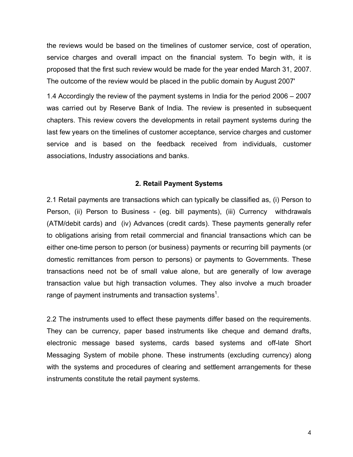the reviews would be based on the timelines of customer service, cost of operation, service charges and overall impact on the financial system. To begin with, it is proposed that the first such review would be made for the year ended March 31, 2007. The outcome of the review would be placed in the public domain by August 2007'

1.4 Accordingly the review of the payment systems in India for the period 2006 – 2007 was carried out by Reserve Bank of India. The review is presented in subsequent chapters. This review covers the developments in retail payment systems during the last few years on the timelines of customer acceptance, service charges and customer service and is based on the feedback received from individuals, customer associations, Industry associations and banks.

### **2. Retail Payment Systems**

2.1 Retail payments are transactions which can typically be classified as, (i) Person to Person, (ii) Person to Business - (eg. bill payments), (iii) Currency withdrawals (ATM/debit cards) and (iv) Advances (credit cards). These payments generally refer to obligations arising from retail commercial and financial transactions which can be either one-time person to person (or business) payments or recurring bill payments (or domestic remittances from person to persons) or payments to Governments. These transactions need not be of small value alone, but are generally of low average transaction value but high transaction volumes. They also involve a much broader range of payment instruments and transaction systems<sup>1</sup>.

2.2 The instruments used to effect these payments differ based on the requirements. They can be currency, paper based instruments like cheque and demand drafts, electronic message based systems, cards based systems and off-late Short Messaging System of mobile phone. These instruments (excluding currency) along with the systems and procedures of clearing and settlement arrangements for these instruments constitute the retail payment systems.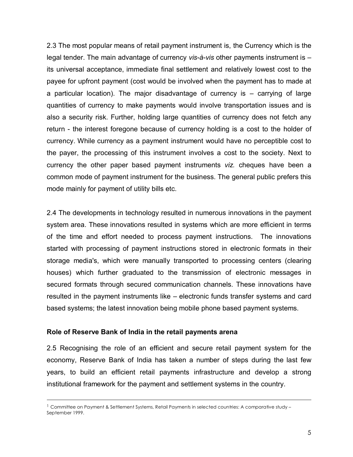2.3 The most popular means of retail payment instrument is, the Currency which is the legal tender. The main advantage of currency *vis-à-vis* other payments instrument is – its universal acceptance, immediate final settlement and relatively lowest cost to the payee for upfront payment (cost would be involved when the payment has to made at a particular location). The major disadvantage of currency is – carrying of large quantities of currency to make payments would involve transportation issues and is also a security risk. Further, holding large quantities of currency does not fetch any return - the interest foregone because of currency holding is a cost to the holder of currency. While currency as a payment instrument would have no perceptible cost to the payer, the processing of this instrument involves a cost to the society. Next to currency the other paper based payment instruments *viz.* cheques have been a common mode of payment instrument for the business. The general public prefers this mode mainly for payment of utility bills etc.

2.4 The developments in technology resulted in numerous innovations in the payment system area. These innovations resulted in systems which are more efficient in terms of the time and effort needed to process payment instructions. The innovations started with processing of payment instructions stored in electronic formats in their storage media's, which were manually transported to processing centers (clearing houses) which further graduated to the transmission of electronic messages in secured formats through secured communication channels. These innovations have resulted in the payment instruments like – electronic funds transfer systems and card based systems; the latest innovation being mobile phone based payment systems.

### **Role of Reserve Bank of India in the retail payments arena**

2.5 Recognising the role of an efficient and secure retail payment system for the economy, Reserve Bank of India has taken a number of steps during the last few years, to build an efficient retail payments infrastructure and develop a strong institutional framework for the payment and settlement systems in the country.

 $^1$  Committee on Payment & Settlement Systems, Retail Payments in selected countries: A comparative study – September 1999.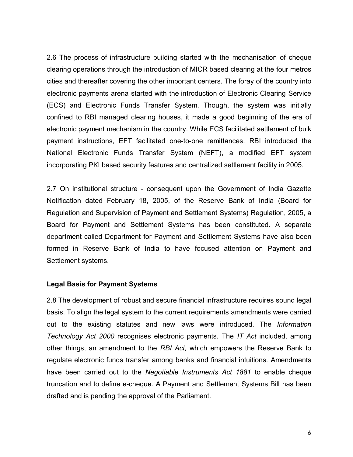2.6 The process of infrastructure building started with the mechanisation of cheque clearing operations through the introduction of MICR based clearing at the four metros cities and thereafter covering the other important centers. The foray of the country into electronic payments arena started with the introduction of Electronic Clearing Service (ECS) and Electronic Funds Transfer System. Though, the system was initially confined to RBI managed clearing houses, it made a good beginning of the era of electronic payment mechanism in the country. While ECS facilitated settlement of bulk payment instructions, EFT facilitated one-to-one remittances. RBI introduced the National Electronic Funds Transfer System (NEFT), a modified EFT system incorporating PKI based security features and centralized settlement facility in 2005.

2.7 On institutional structure - consequent upon the Government of India Gazette Notification dated February 18, 2005, of the Reserve Bank of India (Board for Regulation and Supervision of Payment and Settlement Systems) Regulation, 2005, a Board for Payment and Settlement Systems has been constituted. A separate department called Department for Payment and Settlement Systems have also been formed in Reserve Bank of India to have focused attention on Payment and Settlement systems.

### **Legal Basis for Payment Systems**

2.8 The development of robust and secure financial infrastructure requires sound legal basis. To align the legal system to the current requirements amendments were carried out to the existing statutes and new laws were introduced. The *Information Technology Act 2000* recognises electronic payments. The *IT Act* included, among other things, an amendment to the *RBI Act,* which empowers the Reserve Bank to regulate electronic funds transfer among banks and financial intuitions. Amendments have been carried out to the *Negotiable Instruments Act 1881* to enable cheque truncation and to define e-cheque. A Payment and Settlement Systems Bill has been drafted and is pending the approval of the Parliament.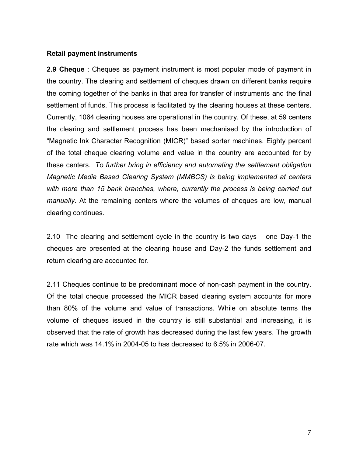### **Retail payment instruments**

**2.9 Cheque** : Cheques as payment instrument is most popular mode of payment in the country. The clearing and settlement of cheques drawn on different banks require the coming together of the banks in that area for transfer of instruments and the final settlement of funds. This process is facilitated by the clearing houses at these centers. Currently, 1064 clearing houses are operational in the country. Of these, at 59 centers the clearing and settlement process has been mechanised by the introduction of "Magnetic Ink Character Recognition (MICR)" based sorter machines. Eighty percent of the total cheque clearing volume and value in the country are accounted for by these centers. *To further bring in efficiency and automating the settlement obligation Magnetic Media Based Clearing System (MMBCS) is being implemented at centers with more than 15 bank branches, where, currently the process is being carried out manually.* At the remaining centers where the volumes of cheques are low, manual clearing continues.

2.10 The clearing and settlement cycle in the country is two days – one Day-1 the cheques are presented at the clearing house and Day-2 the funds settlement and return clearing are accounted for.

2.11 Cheques continue to be predominant mode of non-cash payment in the country. Of the total cheque processed the MICR based clearing system accounts for more than 80% of the volume and value of transactions. While on absolute terms the volume of cheques issued in the country is still substantial and increasing, it is observed that the rate of growth has decreased during the last few years. The growth rate which was 14.1% in 2004-05 to has decreased to 6.5% in 2006-07.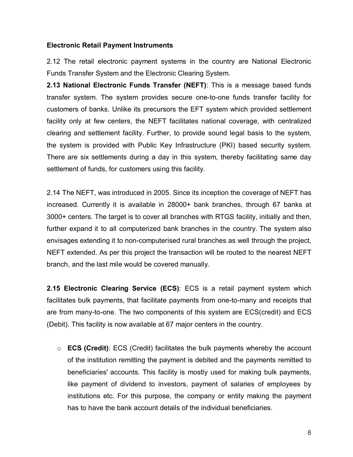# **Electronic Retail Payment Instruments**

2.12 The retail electronic payment systems in the country are National Electronic Funds Transfer System and the Electronic Clearing System.

**2.13 National Electronic Funds Transfer (NEFT)**: This is a message based funds transfer system. The system provides secure one-to-one funds transfer facility for customers of banks. Unlike its precursors the EFT system which provided settlement facility only at few centers, the NEFT facilitates national coverage, with centralized clearing and settlement facility. Further, to provide sound legal basis to the system, the system is provided with Public Key Infrastructure (PKI) based security system. There are six settlements during a day in this system, thereby facilitating same day settlement of funds, for customers using this facility.

2.14 The NEFT, was introduced in 2005. Since its inception the coverage of NEFT has increased. Currently it is available in 28000+ bank branches, through 67 banks at 3000+ centers. The target is to cover all branches with RTGS facility, initially and then, further expand it to all computerized bank branches in the country. The system also envisages extending it to non-computerised rural branches as well through the project, NEFT extended. As per this project the transaction will be routed to the nearest NEFT branch, and the last mile would be covered manually.

**2.15 Electronic Clearing Service (ECS)**: ECS is a retail payment system which facilitates bulk payments, that facilitate payments from one-to-many and receipts that are from many-to-one. The two components of this system are ECS(credit) and ECS (Debit). This facility is now available at 67 major centers in the country.

o **ECS (Credit)**: ECS (Credit) facilitates the bulk payments whereby the account of the institution remitting the payment is debited and the payments remitted to beneficiaries' accounts. This facility is mostly used for making bulk payments, like payment of dividend to investors, payment of salaries of employees by institutions etc. For this purpose, the company or entity making the payment has to have the bank account details of the individual beneficiaries.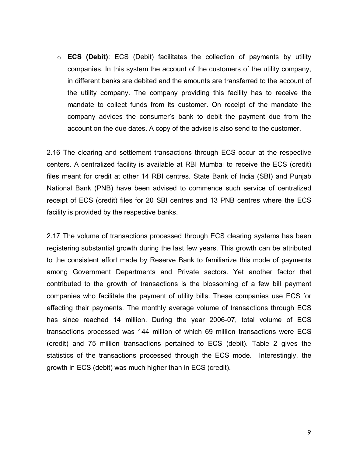o **ECS (Debit)**: ECS (Debit) facilitates the collection of payments by utility companies. In this system the account of the customers of the utility company, in different banks are debited and the amounts are transferred to the account of the utility company. The company providing this facility has to receive the mandate to collect funds from its customer. On receipt of the mandate the company advices the consumer's bank to debit the payment due from the account on the due dates. A copy of the advise is also send to the customer.

2.16 The clearing and settlement transactions through ECS occur at the respective centers. A centralized facility is available at RBI Mumbai to receive the ECS (credit) files meant for credit at other 14 RBI centres. State Bank of India (SBI) and Punjab National Bank (PNB) have been advised to commence such service of centralized receipt of ECS (credit) files for 20 SBI centres and 13 PNB centres where the ECS facility is provided by the respective banks.

2.17 The volume of transactions processed through ECS clearing systems has been registering substantial growth during the last few years. This growth can be attributed to the consistent effort made by Reserve Bank to familiarize this mode of payments among Government Departments and Private sectors. Yet another factor that contributed to the growth of transactions is the blossoming of a few bill payment companies who facilitate the payment of utility bills. These companies use ECS for effecting their payments. The monthly average volume of transactions through ECS has since reached 14 million. During the year 2006-07, total volume of ECS transactions processed was 144 million of which 69 million transactions were ECS (credit) and 75 million transactions pertained to ECS (debit). Table 2 gives the statistics of the transactions processed through the ECS mode. Interestingly, the growth in ECS (debit) was much higher than in ECS (credit).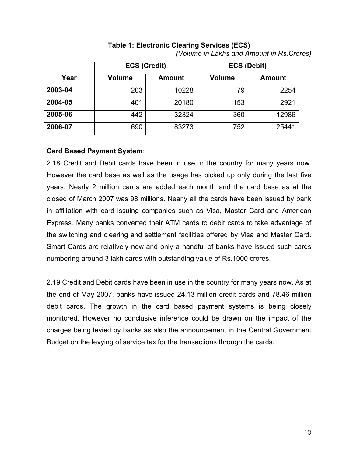|         | <b>ECS (Credit)</b> |               | <b>ECS (Debit)</b> |               |
|---------|---------------------|---------------|--------------------|---------------|
| Year    | <b>Volume</b>       | <b>Amount</b> | <b>Volume</b>      | <b>Amount</b> |
| 2003-04 | 203                 | 10228         | 79                 | 2254          |
| 2004-05 | 401                 | 20180         | 153                | 2921          |
| 2005-06 | 442                 | 32324         | 360                | 12986         |
| 2006-07 | 690                 | 83273         | 752                | 25441         |

# **Table 1: Electronic Clearing Services (ECS)** *(Volume in Lakhs and Amount in Rs.Crores)*

# **Card Based Payment System**:

2.18 Credit and Debit cards have been in use in the country for many years now. However the card base as well as the usage has picked up only during the last five years. Nearly 2 million cards are added each month and the card base as at the closed of March 2007 was 98 millions. Nearly all the cards have been issued by bank in affiliation with card issuing companies such as Visa, Master Card and American Express. Many banks converted their ATM cards to debit cards to take advantage of the switching and clearing and settlement facilities offered by Visa and Master Card. Smart Cards are relatively new and only a handful of banks have issued such cards numbering around 3 lakh cards with outstanding value of Rs.1000 crores.

2.19 Credit and Debit cards have been in use in the country for many years now. As at the end of May 2007, banks have issued 24.13 million credit cards and 78.46 million debit cards. The growth in the card based payment systems is being closely monitored. However no conclusive inference could be drawn on the impact of the charges being levied by banks as also the announcement in the Central Government Budget on the levying of service tax for the transactions through the cards.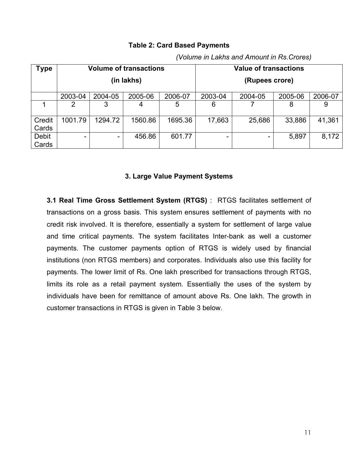### **Type Volume of transactions (in lakhs) Value of transactions (Rupees crore)** 2003-04 2004-05 2005-06 2006-07 2003-04 2004-05 2005-06 2006-07 1 2 3 4 5 6 7 8 9 **Credit Cards** 1001.79 | 1294.72 | 1560.86 | 1695.36 | 17,663 | 25,686 | 33,886 | 41,361 Debit Cards - | 456.86 | 601.77 | - | - | 5,897 | 8,172

# **Table 2: Card Based Payments**

**3. Large Value Payment Systems**

**3.1 Real Time Gross Settlement System (RTGS)** : RTGS facilitates settlement of transactions on a gross basis. This system ensures settlement of payments with no credit risk involved. It is therefore, essentially a system for settlement of large value and time critical payments. The system facilitates Inter-bank as well a customer payments. The customer payments option of RTGS is widely used by financial institutions (non RTGS members) and corporates. Individuals also use this facility for payments. The lower limit of Rs. One lakh prescribed for transactions through RTGS, limits its role as a retail payment system. Essentially the uses of the system by individuals have been for remittance of amount above Rs. One lakh. The growth in customer transactions in RTGS is given in Table 3 below.

*(Volume in Lakhs and Amount in Rs.Crores)*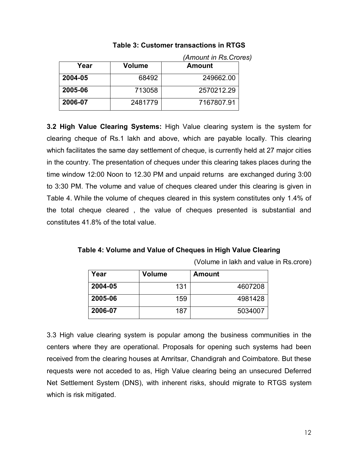|         | (Amount in Rs. Crores) |               |  |
|---------|------------------------|---------------|--|
| Year    | Volume                 | <b>Amount</b> |  |
| 2004-05 | 68492                  | 249662.00     |  |
| 2005-06 | 713058                 | 2570212.29    |  |
| 2006-07 | 2481779                | 7167807.91    |  |

**Table 3: Customer transactions in RTGS**

**3.2 High Value Clearing Systems:** High Value clearing system is the system for clearing cheque of Rs.1 lakh and above, which are payable locally. This clearing which facilitates the same day settlement of cheque, is currently held at 27 major cities in the country. The presentation of cheques under this clearing takes places during the time window 12:00 Noon to 12.30 PM and unpaid returns are exchanged during 3:00 to 3:30 PM. The volume and value of cheques cleared under this clearing is given in Table 4. While the volume of cheques cleared in this system constitutes only 1.4% of the total cheque cleared , the value of cheques presented is substantial and constitutes 41.8% of the total value.

**Table 4: Volume and Value of Cheques in High Value Clearing**

| Year    | <b>Volume</b> | <b>Amount</b> |
|---------|---------------|---------------|
| 2004-05 | 131           | 4607208       |
| 2005-06 | 159           | 4981428       |
| 2006-07 | 187           | 5034007       |

3.3 High value clearing system is popular among the business communities in the centers where they are operational. Proposals for opening such systems had been received from the clearing houses at Amritsar, Chandigrah and Coimbatore. But these requests were not acceded to as, High Value clearing being an unsecured Deferred Net Settlement System (DNS), with inherent risks, should migrate to RTGS system which is risk mitigated.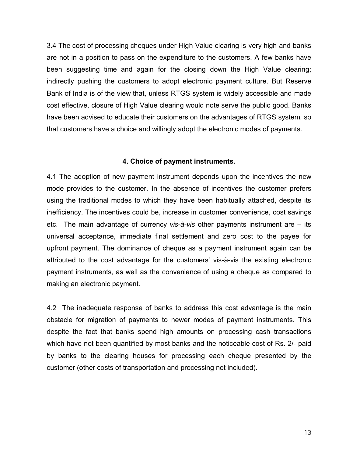3.4 The cost of processing cheques under High Value clearing is very high and banks are not in a position to pass on the expenditure to the customers. A few banks have been suggesting time and again for the closing down the High Value clearing; indirectly pushing the customers to adopt electronic payment culture. But Reserve Bank of India is of the view that, unless RTGS system is widely accessible and made cost effective, closure of High Value clearing would note serve the public good. Banks have been advised to educate their customers on the advantages of RTGS system, so that customers have a choice and willingly adopt the electronic modes of payments.

### **4. Choice of payment instruments.**

4.1 The adoption of new payment instrument depends upon the incentives the new mode provides to the customer. In the absence of incentives the customer prefers using the traditional modes to which they have been habitually attached, despite its inefficiency. The incentives could be, increase in customer convenience, cost savings etc. The main advantage of currency *vis-à-vis* other payments instrument are – its universal acceptance, immediate final settlement and zero cost to the payee for upfront payment. The dominance of cheque as a payment instrument again can be attributed to the cost advantage for the customers' vis-à-vis the existing electronic payment instruments, as well as the convenience of using a cheque as compared to making an electronic payment.

4.2 The inadequate response of banks to address this cost advantage is the main obstacle for migration of payments to newer modes of payment instruments. This despite the fact that banks spend high amounts on processing cash transactions which have not been quantified by most banks and the noticeable cost of Rs. 2/- paid by banks to the clearing houses for processing each cheque presented by the customer (other costs of transportation and processing not included).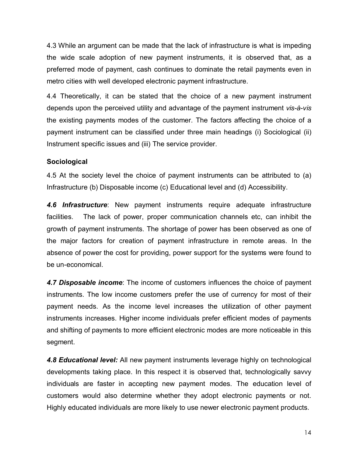4.3 While an argument can be made that the lack of infrastructure is what is impeding the wide scale adoption of new payment instruments, it is observed that, as a preferred mode of payment, cash continues to dominate the retail payments even in metro cities with well developed electronic payment infrastructure.

4.4 Theoretically, it can be stated that the choice of a new payment instrument depends upon the perceived utility and advantage of the payment instrument *vis-à-vis* the existing payments modes of the customer. The factors affecting the choice of a payment instrument can be classified under three main headings (i) Sociological (ii) Instrument specific issues and (iii) The service provider.

# **Sociological**

4.5 At the society level the choice of payment instruments can be attributed to (a) Infrastructure (b) Disposable income (c) Educational level and (d) Accessibility.

*4.6 Infrastructure*: New payment instruments require adequate infrastructure facilities. The lack of power, proper communication channels etc, can inhibit the growth of payment instruments. The shortage of power has been observed as one of the major factors for creation of payment infrastructure in remote areas. In the absence of power the cost for providing, power support for the systems were found to be un-economical.

*4.7 Disposable income*: The income of customers influences the choice of payment instruments. The low income customers prefer the use of currency for most of their payment needs. As the income level increases the utilization of other payment instruments increases. Higher income individuals prefer efficient modes of payments and shifting of payments to more efficient electronic modes are more noticeable in this segment.

*4.8 Educational level:* All new payment instruments leverage highly on technological developments taking place. In this respect it is observed that, technologically savvy individuals are faster in accepting new payment modes. The education level of customers would also determine whether they adopt electronic payments or not. Highly educated individuals are more likely to use newer electronic payment products.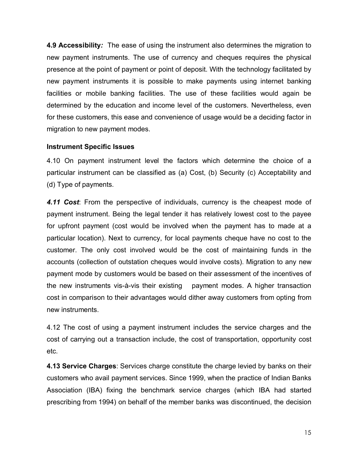**4.9 Accessibility***:* The ease of using the instrument also determines the migration to new payment instruments. The use of currency and cheques requires the physical presence at the point of payment or point of deposit. With the technology facilitated by new payment instruments it is possible to make payments using internet banking facilities or mobile banking facilities. The use of these facilities would again be determined by the education and income level of the customers. Nevertheless, even for these customers, this ease and convenience of usage would be a deciding factor in migration to new payment modes.

# **Instrument Specific Issues**

4.10 On payment instrument level the factors which determine the choice of a particular instrument can be classified as (a) Cost, (b) Security (c) Acceptability and (d) Type of payments.

*4.11 Cost*: From the perspective of individuals, currency is the cheapest mode of payment instrument. Being the legal tender it has relatively lowest cost to the payee for upfront payment (cost would be involved when the payment has to made at a particular location). Next to currency, for local payments cheque have no cost to the customer. The only cost involved would be the cost of maintaining funds in the accounts (collection of outstation cheques would involve costs). Migration to any new payment mode by customers would be based on their assessment of the incentives of the new instruments vis-à-vis their existing payment modes. A higher transaction cost in comparison to their advantages would dither away customers from opting from new instruments.

4.12 The cost of using a payment instrument includes the service charges and the cost of carrying out a transaction include, the cost of transportation, opportunity cost etc.

**4.13 Service Charges**: Services charge constitute the charge levied by banks on their customers who avail payment services. Since 1999, when the practice of Indian Banks Association (IBA) fixing the benchmark service charges (which IBA had started prescribing from 1994) on behalf of the member banks was discontinued, the decision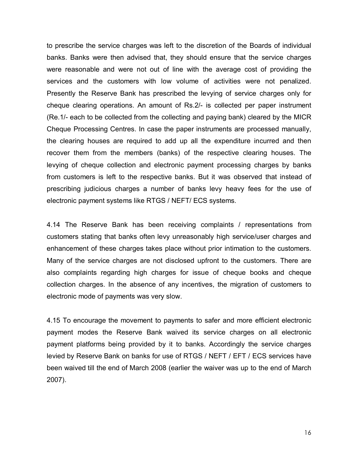to prescribe the service charges was left to the discretion of the Boards of individual banks. Banks were then advised that, they should ensure that the service charges were reasonable and were not out of line with the average cost of providing the services and the customers with low volume of activities were not penalized. Presently the Reserve Bank has prescribed the levying of service charges only for cheque clearing operations. An amount of Rs.2/- is collected per paper instrument (Re.1/- each to be collected from the collecting and paying bank) cleared by the MICR Cheque Processing Centres. In case the paper instruments are processed manually, the clearing houses are required to add up all the expenditure incurred and then recover them from the members (banks) of the respective clearing houses. The levying of cheque collection and electronic payment processing charges by banks from customers is left to the respective banks. But it was observed that instead of prescribing judicious charges a number of banks levy heavy fees for the use of electronic payment systems like RTGS / NEFT/ ECS systems.

4.14 The Reserve Bank has been receiving complaints / representations from customers stating that banks often levy unreasonably high service/user charges and enhancement of these charges takes place without prior intimation to the customers. Many of the service charges are not disclosed upfront to the customers. There are also complaints regarding high charges for issue of cheque books and cheque collection charges. In the absence of any incentives, the migration of customers to electronic mode of payments was very slow.

4.15 To encourage the movement to payments to safer and more efficient electronic payment modes the Reserve Bank waived its service charges on all electronic payment platforms being provided by it to banks. Accordingly the service charges levied by Reserve Bank on banks for use of RTGS / NEFT / EFT / ECS services have been waived till the end of March 2008 (earlier the waiver was up to the end of March 2007).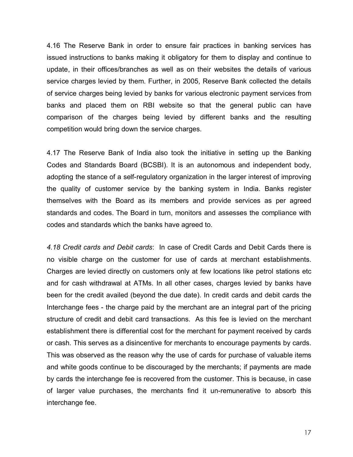4.16 The Reserve Bank in order to ensure fair practices in banking services has issued instructions to banks making it obligatory for them to display and continue to update, in their offices/branches as well as on their websites the details of various service charges levied by them. Further, in 2005, Reserve Bank collected the details of service charges being levied by banks for various electronic payment services from banks and placed them on RBI website so that the general public can have comparison of the charges being levied by different banks and the resulting competition would bring down the service charges.

4.17 The Reserve Bank of India also took the initiative in setting up the Banking Codes and Standards Board (BCSBI). It is an autonomous and independent body, adopting the stance of a self-regulatory organization in the larger interest of improving the quality of customer service by the banking system in India. Banks register themselves with the Board as its members and provide services as per agreed standards and codes. The Board in turn, monitors and assesses the compliance with codes and standards which the banks have agreed to.

*4.18 Credit cards and Debit cards*: In case of Credit Cards and Debit Cards there is no visible charge on the customer for use of cards at merchant establishments. Charges are levied directly on customers only at few locations like petrol stations etc and for cash withdrawal at ATMs. In all other cases, charges levied by banks have been for the credit availed (beyond the due date). In credit cards and debit cards the Interchange fees - the charge paid by the merchant are an integral part of the pricing structure of credit and debit card transactions. As this fee is levied on the merchant establishment there is differential cost for the merchant for payment received by cards or cash. This serves as a disincentive for merchants to encourage payments by cards. This was observed as the reason why the use of cards for purchase of valuable items and white goods continue to be discouraged by the merchants; if payments are made by cards the interchange fee is recovered from the customer. This is because, in case of larger value purchases, the merchants find it un-remunerative to absorb this interchange fee.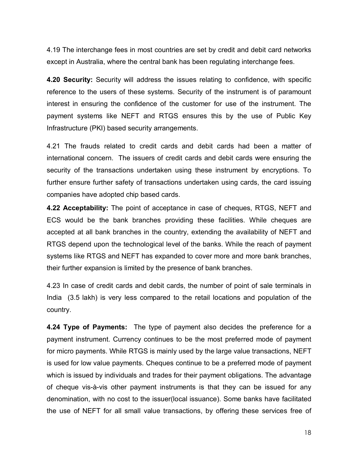4.19 The interchange fees in most countries are set by credit and debit card networks except in Australia, where the central bank has been regulating interchange fees.

**4.20 Security:** Security will address the issues relating to confidence, with specific reference to the users of these systems. Security of the instrument is of paramount interest in ensuring the confidence of the customer for use of the instrument. The payment systems like NEFT and RTGS ensures this by the use of Public Key Infrastructure (PKI) based security arrangements.

4.21 The frauds related to credit cards and debit cards had been a matter of international concern. The issuers of credit cards and debit cards were ensuring the security of the transactions undertaken using these instrument by encryptions. To further ensure further safety of transactions undertaken using cards, the card issuing companies have adopted chip based cards.

**4.22 Acceptability:** The point of acceptance in case of cheques, RTGS, NEFT and ECS would be the bank branches providing these facilities. While cheques are accepted at all bank branches in the country, extending the availability of NEFT and RTGS depend upon the technological level of the banks. While the reach of payment systems like RTGS and NEFT has expanded to cover more and more bank branches, their further expansion is limited by the presence of bank branches.

4.23 In case of credit cards and debit cards, the number of point of sale terminals in India (3.5 lakh) is very less compared to the retail locations and population of the country.

**4.24 Type of Payments:** The type of payment also decides the preference for a payment instrument. Currency continues to be the most preferred mode of payment for micro payments. While RTGS is mainly used by the large value transactions, NEFT is used for low value payments. Cheques continue to be a preferred mode of payment which is issued by individuals and trades for their payment obligations. The advantage of cheque vis-à-vis other payment instruments is that they can be issued for any denomination, with no cost to the issuer(local issuance). Some banks have facilitated the use of NEFT for all small value transactions, by offering these services free of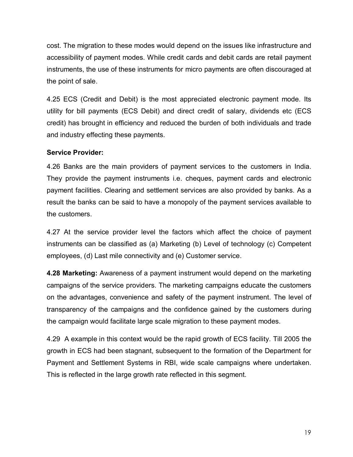cost. The migration to these modes would depend on the issues like infrastructure and accessibility of payment modes. While credit cards and debit cards are retail payment instruments, the use of these instruments for micro payments are often discouraged at the point of sale.

4.25 ECS (Credit and Debit) is the most appreciated electronic payment mode. Its utility for bill payments (ECS Debit) and direct credit of salary, dividends etc (ECS credit) has brought in efficiency and reduced the burden of both individuals and trade and industry effecting these payments.

# **Service Provider:**

4.26 Banks are the main providers of payment services to the customers in India. They provide the payment instruments i.e. cheques, payment cards and electronic payment facilities. Clearing and settlement services are also provided by banks. As a result the banks can be said to have a monopoly of the payment services available to the customers.

4.27 At the service provider level the factors which affect the choice of payment instruments can be classified as (a) Marketing (b) Level of technology (c) Competent employees, (d) Last mile connectivity and (e) Customer service.

**4.28 Marketing:** Awareness of a payment instrument would depend on the marketing campaigns of the service providers. The marketing campaigns educate the customers on the advantages, convenience and safety of the payment instrument. The level of transparency of the campaigns and the confidence gained by the customers during the campaign would facilitate large scale migration to these payment modes.

4.29 A example in this context would be the rapid growth of ECS facility. Till 2005 the growth in ECS had been stagnant, subsequent to the formation of the Department for Payment and Settlement Systems in RBI, wide scale campaigns where undertaken. This is reflected in the large growth rate reflected in this segment.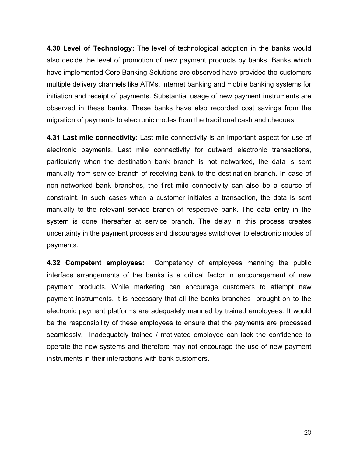**4.30 Level of Technology:** The level of technological adoption in the banks would also decide the level of promotion of new payment products by banks. Banks which have implemented Core Banking Solutions are observed have provided the customers multiple delivery channels like ATMs, internet banking and mobile banking systems for initiation and receipt of payments. Substantial usage of new payment instruments are observed in these banks. These banks have also recorded cost savings from the migration of payments to electronic modes from the traditional cash and cheques.

**4.31 Last mile connectivity**: Last mile connectivity is an important aspect for use of electronic payments. Last mile connectivity for outward electronic transactions, particularly when the destination bank branch is not networked, the data is sent manually from service branch of receiving bank to the destination branch. In case of non-networked bank branches, the first mile connectivity can also be a source of constraint. In such cases when a customer initiates a transaction, the data is sent manually to the relevant service branch of respective bank. The data entry in the system is done thereafter at service branch. The delay in this process creates uncertainty in the payment process and discourages switchover to electronic modes of payments.

**4.32 Competent employees:** Competency of employees manning the public interface arrangements of the banks is a critical factor in encouragement of new payment products. While marketing can encourage customers to attempt new payment instruments, it is necessary that all the banks branches brought on to the electronic payment platforms are adequately manned by trained employees. It would be the responsibility of these employees to ensure that the payments are processed seamlessly. Inadequately trained / motivated employee can lack the confidence to operate the new systems and therefore may not encourage the use of new payment instruments in their interactions with bank customers.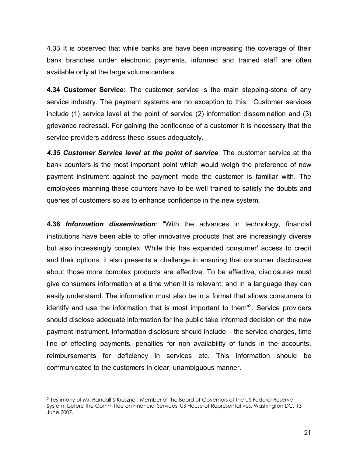4.33 It is observed that while banks are have been increasing the coverage of their bank branches under electronic payments, informed and trained staff are often available only at the large volume centers.

**4.34 Customer Service:** The customer service is the main stepping-stone of any service industry. The payment systems are no exception to this. Customer services include (1) service level at the point of service (2) information dissemination and (3) grievance redressal. For gaining the confidence of a customer it is necessary that the service providers address these issues adequately.

*4.35 Customer Service level at the point of service*: The customer service at the bank counters is the most important point which would weigh the preference of new payment instrument against the payment mode the customer is familiar with. The employees manning these counters have to be well trained to satisfy the doubts and queries of customers so as to enhance confidence in the new system.

**4.36** *Information dissemination*: "With the advances in technology, financial institutions have been able to offer innovative products that are increasingly diverse but also increasingly complex. While this has expanded consumer' access to credit and their options, it also presents a challenge in ensuring that consumer disclosures about those more complex products are effective. To be effective, disclosures must give consumers information at a time when it is relevant, and in a language they can easily understand. The information must also be in a format that allows consumers to identify and use the information that is most important to them"<sup>2</sup>. Service providers should disclose adequate information for the public take informed decision on the new payment instrument. Information disclosure should include – the service charges, time line of effecting payments, penalties for non availability of funds in the accounts, reimbursements for deficiency in services etc. This information should be communicated to the customers in clear, unambiguous manner.

 $\overline{a}$ 

<sup>2</sup> Testimony of Mr. Randall S Kroszner, Member of the Board of Governors of the US Federal Reserve System, before the Committee on Financial Services, US House of Representatives, Washington DC, 13 June 2007.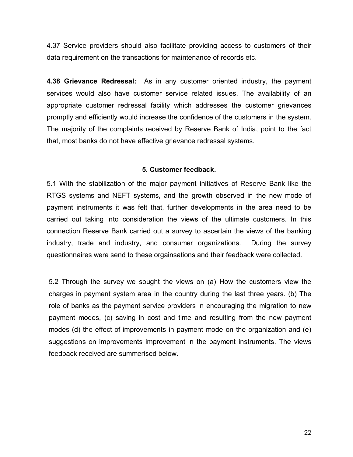4.37 Service providers should also facilitate providing access to customers of their data requirement on the transactions for maintenance of records etc.

**4.38 Grievance Redressal***:* As in any customer oriented industry, the payment services would also have customer service related issues. The availability of an appropriate customer redressal facility which addresses the customer grievances promptly and efficiently would increase the confidence of the customers in the system. The majority of the complaints received by Reserve Bank of India, point to the fact that, most banks do not have effective grievance redressal systems.

### **5. Customer feedback.**

5.1 With the stabilization of the major payment initiatives of Reserve Bank like the RTGS systems and NEFT systems, and the growth observed in the new mode of payment instruments it was felt that, further developments in the area need to be carried out taking into consideration the views of the ultimate customers. In this connection Reserve Bank carried out a survey to ascertain the views of the banking industry, trade and industry, and consumer organizations. During the survey questionnaires were send to these orgainsations and their feedback were collected.

5.2 Through the survey we sought the views on (a) How the customers view the charges in payment system area in the country during the last three years. (b) The role of banks as the payment service providers in encouraging the migration to new payment modes, (c) saving in cost and time and resulting from the new payment modes (d) the effect of improvements in payment mode on the organization and (e) suggestions on improvements improvement in the payment instruments. The views feedback received are summerised below.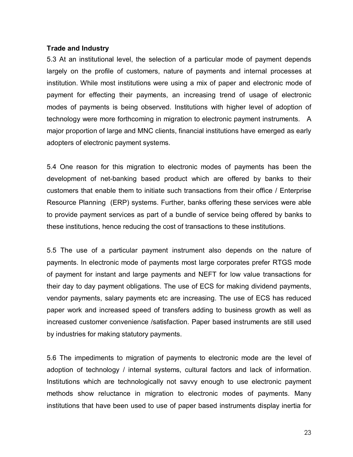### **Trade and Industry**

5.3 At an institutional level, the selection of a particular mode of payment depends largely on the profile of customers, nature of payments and internal processes at institution. While most institutions were using a mix of paper and electronic mode of payment for effecting their payments, an increasing trend of usage of electronic modes of payments is being observed. Institutions with higher level of adoption of technology were more forthcoming in migration to electronic payment instruments. A major proportion of large and MNC clients, financial institutions have emerged as early adopters of electronic payment systems.

5.4 One reason for this migration to electronic modes of payments has been the development of net-banking based product which are offered by banks to their customers that enable them to initiate such transactions from their office / Enterprise Resource Planning (ERP) systems. Further, banks offering these services were able to provide payment services as part of a bundle of service being offered by banks to these institutions, hence reducing the cost of transactions to these institutions.

5.5 The use of a particular payment instrument also depends on the nature of payments. In electronic mode of payments most large corporates prefer RTGS mode of payment for instant and large payments and NEFT for low value transactions for their day to day payment obligations. The use of ECS for making dividend payments, vendor payments, salary payments etc are increasing. The use of ECS has reduced paper work and increased speed of transfers adding to business growth as well as increased customer convenience /satisfaction. Paper based instruments are still used by industries for making statutory payments.

5.6 The impediments to migration of payments to electronic mode are the level of adoption of technology / internal systems, cultural factors and lack of information. Institutions which are technologically not savvy enough to use electronic payment methods show reluctance in migration to electronic modes of payments. Many institutions that have been used to use of paper based instruments display inertia for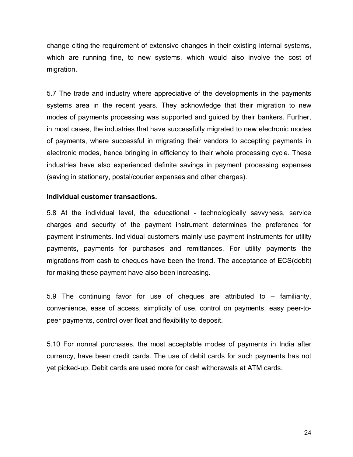change citing the requirement of extensive changes in their existing internal systems, which are running fine, to new systems, which would also involve the cost of migration.

5.7 The trade and industry where appreciative of the developments in the payments systems area in the recent years. They acknowledge that their migration to new modes of payments processing was supported and guided by their bankers. Further, in most cases, the industries that have successfully migrated to new electronic modes of payments, where successful in migrating their vendors to accepting payments in electronic modes, hence bringing in efficiency to their whole processing cycle. These industries have also experienced definite savings in payment processing expenses (saving in stationery, postal/courier expenses and other charges).

### **Individual customer transactions.**

5.8 At the individual level, the educational - technologically savvyness, service charges and security of the payment instrument determines the preference for payment instruments. Individual customers mainly use payment instruments for utility payments, payments for purchases and remittances. For utility payments the migrations from cash to cheques have been the trend. The acceptance of ECS(debit) for making these payment have also been increasing.

5.9 The continuing favor for use of cheques are attributed to – familiarity, convenience, ease of access, simplicity of use, control on payments, easy peer-topeer payments, control over float and flexibility to deposit.

5.10 For normal purchases, the most acceptable modes of payments in India after currency, have been credit cards. The use of debit cards for such payments has not yet picked-up. Debit cards are used more for cash withdrawals at ATM cards.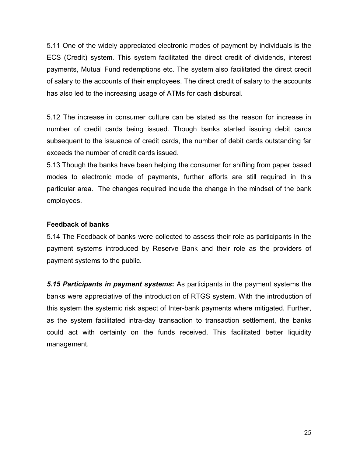5.11 One of the widely appreciated electronic modes of payment by individuals is the ECS (Credit) system. This system facilitated the direct credit of dividends, interest payments, Mutual Fund redemptions etc. The system also facilitated the direct credit of salary to the accounts of their employees. The direct credit of salary to the accounts has also led to the increasing usage of ATMs for cash disbursal.

5.12 The increase in consumer culture can be stated as the reason for increase in number of credit cards being issued. Though banks started issuing debit cards subsequent to the issuance of credit cards, the number of debit cards outstanding far exceeds the number of credit cards issued.

5.13 Though the banks have been helping the consumer for shifting from paper based modes to electronic mode of payments, further efforts are still required in this particular area. The changes required include the change in the mindset of the bank employees.

# **Feedback of banks**

5.14 The Feedback of banks were collected to assess their role as participants in the payment systems introduced by Reserve Bank and their role as the providers of payment systems to the public.

*5.15 Participants in payment systems***:** As participants in the payment systems the banks were appreciative of the introduction of RTGS system. With the introduction of this system the systemic risk aspect of Inter-bank payments where mitigated. Further, as the system facilitated intra-day transaction to transaction settlement, the banks could act with certainty on the funds received. This facilitated better liquidity management.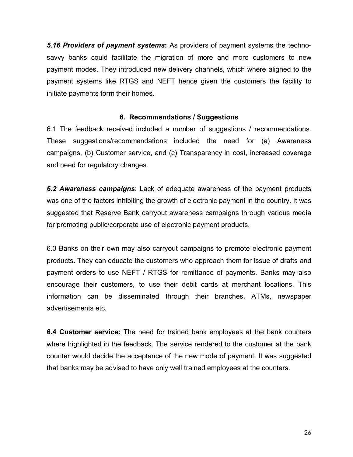*5.16 Providers of payment systems***:** As providers of payment systems the technosavvy banks could facilitate the migration of more and more customers to new payment modes. They introduced new delivery channels, which where aligned to the payment systems like RTGS and NEFT hence given the customers the facility to initiate payments form their homes.

# **6. Recommendations / Suggestions**

6.1 The feedback received included a number of suggestions / recommendations. These suggestions/recommendations included the need for (a) Awareness campaigns, (b) Customer service, and (c) Transparency in cost, increased coverage and need for regulatory changes.

*6.2 Awareness campaigns*: Lack of adequate awareness of the payment products was one of the factors inhibiting the growth of electronic payment in the country. It was suggested that Reserve Bank carryout awareness campaigns through various media for promoting public/corporate use of electronic payment products.

6.3 Banks on their own may also carryout campaigns to promote electronic payment products. They can educate the customers who approach them for issue of drafts and payment orders to use NEFT / RTGS for remittance of payments. Banks may also encourage their customers, to use their debit cards at merchant locations. This information can be disseminated through their branches, ATMs, newspaper advertisements etc.

**6.4 Customer service:** The need for trained bank employees at the bank counters where highlighted in the feedback. The service rendered to the customer at the bank counter would decide the acceptance of the new mode of payment. It was suggested that banks may be advised to have only well trained employees at the counters.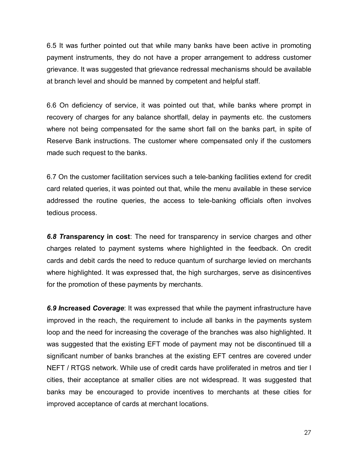6.5 It was further pointed out that while many banks have been active in promoting payment instruments, they do not have a proper arrangement to address customer grievance. It was suggested that grievance redressal mechanisms should be available at branch level and should be manned by competent and helpful staff.

6.6 On deficiency of service, it was pointed out that, while banks where prompt in recovery of charges for any balance shortfall, delay in payments etc. the customers where not being compensated for the same short fall on the banks part, in spite of Reserve Bank instructions. The customer where compensated only if the customers made such request to the banks.

6.7 On the customer facilitation services such a tele-banking facilities extend for credit card related queries, it was pointed out that, while the menu available in these service addressed the routine queries, the access to tele-banking officials often involves tedious process.

*6.8 T***ransparency in cost**: The need for transparency in service charges and other charges related to payment systems where highlighted in the feedback. On credit cards and debit cards the need to reduce quantum of surcharge levied on merchants where highlighted. It was expressed that, the high surcharges, serve as disincentives for the promotion of these payments by merchants.

*6.9 I***ncreased** *Coverage*: It was expressed that while the payment infrastructure have improved in the reach, the requirement to include all banks in the payments system loop and the need for increasing the coverage of the branches was also highlighted. It was suggested that the existing EFT mode of payment may not be discontinued till a significant number of banks branches at the existing EFT centres are covered under NEFT / RTGS network. While use of credit cards have proliferated in metros and tier I cities, their acceptance at smaller cities are not widespread. It was suggested that banks may be encouraged to provide incentives to merchants at these cities for improved acceptance of cards at merchant locations.